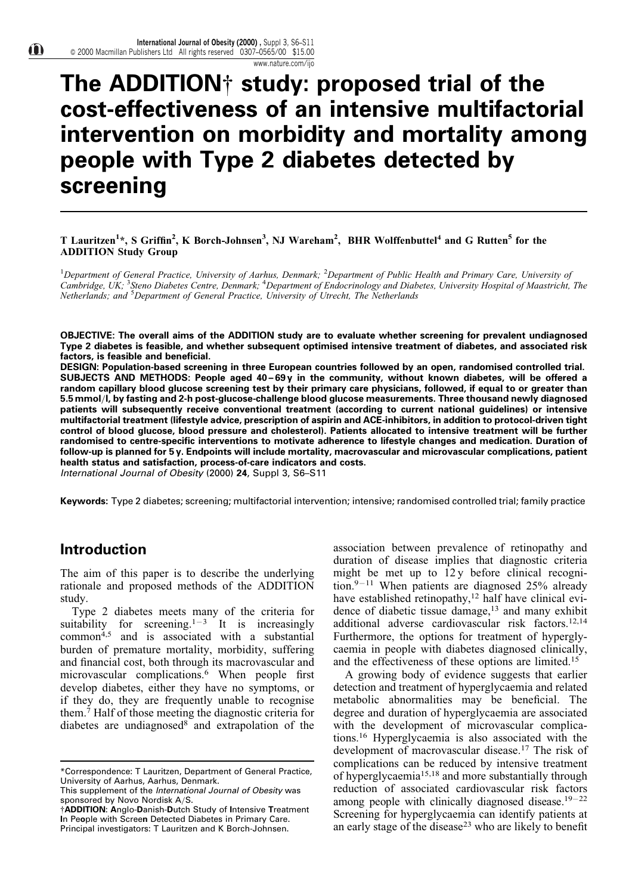www.nature.com/ijo

# The ADDITION $\dagger$  study: proposed trial of the cost-effectiveness of an intensive multifactorial intervention on morbidity and mortality among people with Type 2 diabetes detected by screening

## T Lauritzen<sup>1</sup>\*, S Griffin<sup>2</sup>, K Borch-Johnsen<sup>3</sup>, NJ Wareham<sup>2</sup>, BHR Wolffenbuttel<sup>4</sup> and G Rutten<sup>5</sup> for the ADDITION Study Group

<sup>1</sup>Department of General Practice, University of Aarhus, Denmark; <sup>2</sup>Department of Public Health and Primary Care, University of Cambridge, UK; <sup>3</sup>Steno Diabetes Centre, Denmark; <sup>4</sup>Department of Endocrinology and Diabetes, University Hospital of Maastricht, The Netherlands; and <sup>5</sup>Department of General Practice, University of Utrecht, The Netherlands

OBJECTIVE: The overall aims of the ADDITION study are to evaluate whether screening for prevalent undiagnosed Type 2 diabetes is feasible, and whether subsequent optimised intensive treatment of diabetes, and associated risk factors, is feasible and beneficial.

DESIGN: Population-based screening in three European countries followed by an open, randomised controlled trial. SUBJECTS AND METHODS: People aged 40-69y in the community, without known diabetes, will be offered a random capillary blood glucose screening test by their primary care physicians, followed, if equal to or greater than 5.5 mmol/l, by fasting and 2-h post-glucose-challenge blood glucose measurements. Three thousand newly diagnosed patients will subsequently receive conventional treatment (according to current national guidelines) or intensive multifactorial treatment (lifestyle advice, prescription of aspirin and ACE-inhibitors, in addition to protocol-driven tight control of blood glucose, blood pressure and cholesterol). Patients allocated to intensive treatment will be further randomised to centre-specific interventions to motivate adherence to lifestyle changes and medication. Duration of follow-up is planned for 5 y. Endpoints will include mortality, macrovascular and microvascular complications, patient health status and satisfaction, process-of-care indicators and costs.

International Journal of Obesity (2000) 24, Suppl 3, S6-S11

Keywords: Type 2 diabetes; screening; multifactorial intervention; intensive; randomised controlled trial; family practice

# Introduction

The aim of this paper is to describe the underlying rationale and proposed methods of the ADDITION study.

Type 2 diabetes meets many of the criteria for suitability for screening.<sup>1-3</sup> It is increasingly common<sup>4,5</sup> and is associated with a substantial burden of premature mortality, morbidity, suffering and financial cost, both through its macrovascular and microvascular complications.<sup>6</sup> When people first develop diabetes, either they have no symptoms, or if they do, they are frequently unable to recognise them.7 Half of those meeting the diagnostic criteria for diabetes are undiagnosed $8^{\circ}$  and extrapolation of the

association between prevalence of retinopathy and duration of disease implies that diagnostic criteria might be met up to 12 y before clinical recognition. $9 - 11$  When patients are diagnosed 25% already have established retinopathy,<sup>12</sup> half have clinical evidence of diabetic tissue damage,<sup>13</sup> and many exhibit additional adverse cardiovascular risk factors.12,14 Furthermore, the options for treatment of hyperglycaemia in people with diabetes diagnosed clinically, and the effectiveness of these options are limited.15

A growing body of evidence suggests that earlier detection and treatment of hyperglycaemia and related metabolic abnormalities may be beneficial. The degree and duration of hyperglycaemia are associated with the development of microvascular complications.<sup>16</sup> Hyperglycaemia is also associated with the development of macrovascular disease.<sup>17</sup> The risk of complications can be reduced by intensive treatment of hyperglycaemia15,18 and more substantially through reduction of associated cardiovascular risk factors among people with clinically diagnosed disease.<sup>19 $-22$ </sup> Screening for hyperglycaemia can identify patients at an early stage of the disease<sup>23</sup> who are likely to benefit

<sup>\*</sup>Correspondence: T Lauritzen, Department of General Practice, University of Aarhus, Aarhus, Denmark.

This supplement of the International Journal of Obesity was sponsored by Novo Nordisk  $A/S$ .

<sup>{</sup>ADDITION: Anglo-Danish-Dutch Study of Intensive Treatment In People with Screen Detected Diabetes in Primary Care. Principal investigators: T Lauritzen and K Borch-Johnsen.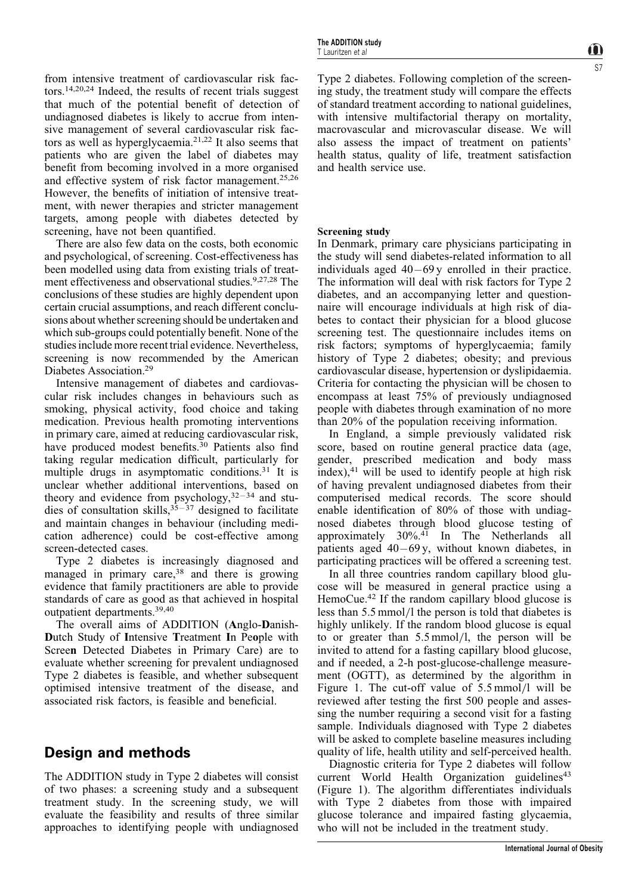from intensive treatment of cardiovascular risk factors.14,20,24 Indeed, the results of recent trials suggest that much of the potential benefit of detection of undiagnosed diabetes is likely to accrue from intensive management of several cardiovascular risk factors as well as hyperglycaemia.21,22 It also seems that patients who are given the label of diabetes may benefit from becoming involved in a more organised and effective system of risk factor management.<sup>25,26</sup> However, the benefits of initiation of intensive treatment, with newer therapies and stricter management targets, among people with diabetes detected by screening, have not been quantified.

There are also few data on the costs, both economic and psychological, of screening. Cost-effectiveness has been modelled using data from existing trials of treatment effectiveness and observational studies.<sup>9,27,28</sup> The conclusions of these studies are highly dependent upon certain crucial assumptions, and reach different conclusions about whether screening should be undertaken and which sub-groups could potentially benefit. None of the studies include more recent trial evidence. Nevertheless, screening is now recommended by the American Diabetes Association.29

Intensive management of diabetes and cardiovascular risk includes changes in behaviours such as smoking, physical activity, food choice and taking medication. Previous health promoting interventions in primary care, aimed at reducing cardiovascular risk, have produced modest benefits.<sup>30</sup> Patients also find taking regular medication difficult, particularly for multiple drugs in asymptomatic conditions.<sup>31</sup> It is unclear whether additional interventions, based on theory and evidence from psychology,  $32-34$  and studies of consultation skills,  $3\overline{5}-37$  designed to facilitate and maintain changes in behaviour (including medication adherence) could be cost-effective among screen-detected cases.

Type 2 diabetes is increasingly diagnosed and managed in primary care, $38$  and there is growing evidence that family practitioners are able to provide standards of care as good as that achieved in hospital outpatient departments.39,40

The overall aims of ADDITION (Anglo-Danish-Dutch Study of Intensive Treatment In People with Screen Detected Diabetes in Primary Care) are to evaluate whether screening for prevalent undiagnosed Type 2 diabetes is feasible, and whether subsequent optimised intensive treatment of the disease, and associated risk factors, is feasible and beneficial.

# Design and methods

The ADDITION study in Type 2 diabetes will consist of two phases: a screening study and a subsequent treatment study. In the screening study, we will evaluate the feasibility and results of three similar approaches to identifying people with undiagnosed

## Screening study

In Denmark, primary care physicians participating in the study will send diabetes-related information to all individuals aged  $40 - 69y$  enrolled in their practice. The information will deal with risk factors for Type 2 diabetes, and an accompanying letter and questionnaire will encourage individuals at high risk of diabetes to contact their physician for a blood glucose screening test. The questionnaire includes items on risk factors; symptoms of hyperglycaemia; family history of Type 2 diabetes; obesity; and previous cardiovascular disease, hypertension or dyslipidaemia. Criteria for contacting the physician will be chosen to encompass at least 75% of previously undiagnosed people with diabetes through examination of no more than 20% of the population receiving information.

In England, a simple previously validated risk score, based on routine general practice data (age, gender, prescribed medication and body mass index),41 will be used to identify people at high risk of having prevalent undiagnosed diabetes from their computerised medical records. The score should enable identification of 80% of those with undiagnosed diabetes through blood glucose testing of approximately 30%.<sup>41</sup> In The Netherlands all patients aged  $40 - 69$ y, without known diabetes, in participating practices will be offered a screening test.

In all three countries random capillary blood glucose will be measured in general practice using a HemoCue.<sup>42</sup> If the random capillary blood glucose is less than 5.5 mmol/l the person is told that diabetes is highly unlikely. If the random blood glucose is equal to or greater than  $5.5 \text{ mmol/l}$ , the person will be invited to attend for a fasting capillary blood glucose, and if needed, a 2-h post-glucose-challenge measurement (OGTT), as determined by the algorithm in Figure 1. The cut-off value of  $5.5 \text{ mmol/l}$  will be reviewed after testing the first 500 people and assessing the number requiring a second visit for a fasting sample. Individuals diagnosed with Type 2 diabetes will be asked to complete baseline measures including quality of life, health utility and self-perceived health.

Diagnostic criteria for Type 2 diabetes will follow current World Health Organization guidelines<sup>43</sup> (Figure 1). The algorithm differentiates individuals with Type 2 diabetes from those with impaired glucose tolerance and impaired fasting glycaemia, who will not be included in the treatment study.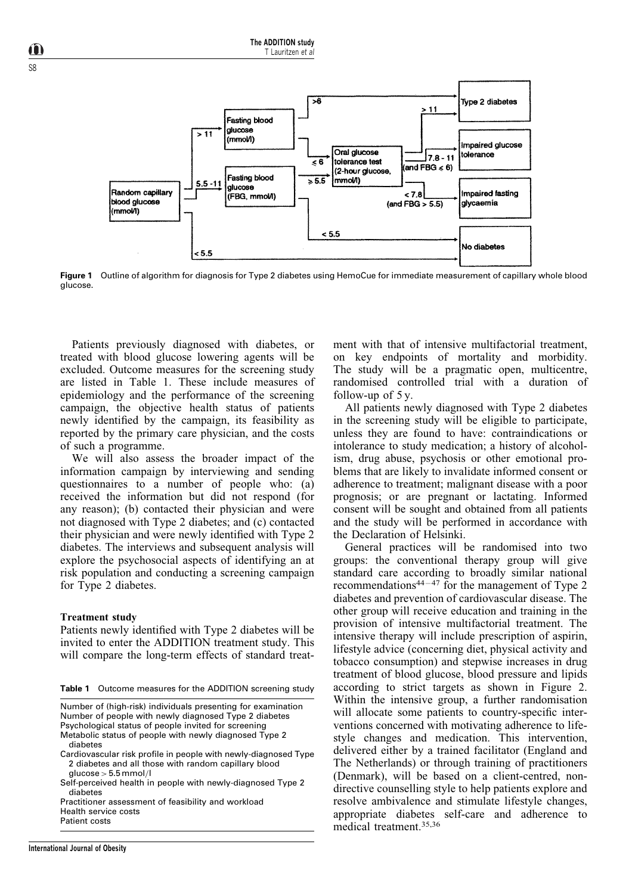

Figure 1 Outline of algorithm for diagnosis for Type 2 diabetes using HemoCue for immediate measurement of capillary whole blood glucose.

Patients previously diagnosed with diabetes, or treated with blood glucose lowering agents will be excluded. Outcome measures for the screening study are listed in Table 1. These include measures of epidemiology and the performance of the screening campaign, the objective health status of patients newly identified by the campaign, its feasibility as reported by the primary care physician, and the costs of such a programme.

We will also assess the broader impact of the information campaign by interviewing and sending questionnaires to a number of people who: (a) received the information but did not respond (for any reason); (b) contacted their physician and were not diagnosed with Type 2 diabetes; and (c) contacted their physician and were newly identified with Type 2 diabetes. The interviews and subsequent analysis will explore the psychosocial aspects of identifying an at risk population and conducting a screening campaign for Type 2 diabetes.

#### Treatment study

Patients newly identified with Type 2 diabetes will be invited to enter the ADDITION treatment study. This will compare the long-term effects of standard treat-

Table 1 Outcome measures for the ADDITION screening study

Number of (high-risk) individuals presenting for examination Number of people with newly diagnosed Type 2 diabetes Psychological status of people invited for screening Metabolic status of people with newly diagnosed Type 2 diabetes

- Cardiovascular risk profile in people with newly-diagnosed Type 2 diabetes and all those with random capillary blood
	- $glucose > 5.5$  mmol/l
- Self-perceived health in people with newly-diagnosed Type 2 diabetes

Practitioner assessment of feasibility and workload Health service costs

Patient costs

ment with that of intensive multifactorial treatment, on key endpoints of mortality and morbidity. The study will be a pragmatic open, multicentre, randomised controlled trial with a duration of follow-up of 5 y.

All patients newly diagnosed with Type 2 diabetes in the screening study will be eligible to participate, unless they are found to have: contraindications or intolerance to study medication; a history of alcoholism, drug abuse, psychosis or other emotional problems that are likely to invalidate informed consent or adherence to treatment; malignant disease with a poor prognosis; or are pregnant or lactating. Informed consent will be sought and obtained from all patients and the study will be performed in accordance with the Declaration of Helsinki.

General practices will be randomised into two groups: the conventional therapy group will give standard care according to broadly similar national recommendations<sup>44 $-47$ </sup> for the management of Type 2 diabetes and prevention of cardiovascular disease. The other group will receive education and training in the provision of intensive multifactorial treatment. The intensive therapy will include prescription of aspirin, lifestyle advice (concerning diet, physical activity and tobacco consumption) and stepwise increases in drug treatment of blood glucose, blood pressure and lipids according to strict targets as shown in Figure 2. Within the intensive group, a further randomisation will allocate some patients to country-specific interventions concerned with motivating adherence to lifestyle changes and medication. This intervention, delivered either by a trained facilitator (England and The Netherlands) or through training of practitioners (Denmark), will be based on a client-centred, nondirective counselling style to help patients explore and resolve ambivalence and stimulate lifestyle changes, appropriate diabetes self-care and adherence to medical treatment.35,36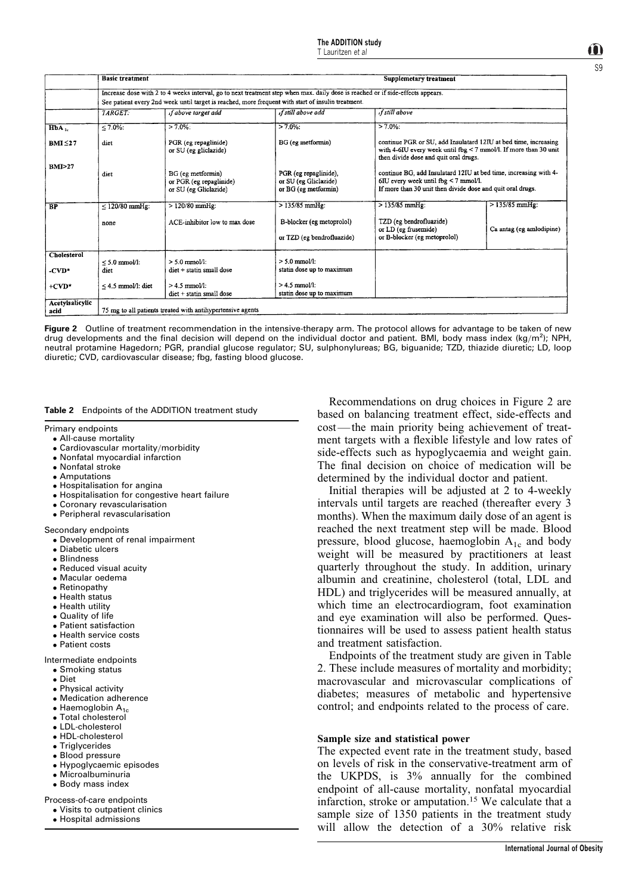|                         | <b>Basic treatment</b>                                                                                                          |                                                                       |                                                                        | Supplemetary treatment                                                                                                                                                                           |                          |  |
|-------------------------|---------------------------------------------------------------------------------------------------------------------------------|-----------------------------------------------------------------------|------------------------------------------------------------------------|--------------------------------------------------------------------------------------------------------------------------------------------------------------------------------------------------|--------------------------|--|
|                         |                                                                                                                                 |                                                                       |                                                                        |                                                                                                                                                                                                  |                          |  |
|                         | Increase dose with 2 to 4 weeks interval, go to next treatment step when max. daily dose is reached or if side-effects appears. |                                                                       |                                                                        |                                                                                                                                                                                                  |                          |  |
|                         | See patient every 2nd week until target is reached, more frequent with start of insulin treatment.                              |                                                                       |                                                                        |                                                                                                                                                                                                  |                          |  |
|                         | <b>TARGET</b>                                                                                                                   | if above target add                                                   | if still above add                                                     | if still above                                                                                                                                                                                   |                          |  |
| HbA                     | $< 7.0\%$                                                                                                                       | $> 7.0\%$ :                                                           | $>7.0\%$                                                               | $> 7.0\%$                                                                                                                                                                                        |                          |  |
| $BMI \leq 27$           | diet                                                                                                                            | PGR (eg repaglinide)<br>or SU (eg gliclazide)                         | BG (eg metformin)                                                      | continue PGR or SU, add Insulatard 12IU at bed time, increasing<br>with 4-6IU every week until $f_{pq}$ < 7 mmol/l. If more than 30 unit<br>then divide dose and quit oral drugs.                |                          |  |
| <b>BMI&gt;27</b>        | diet                                                                                                                            | BG (eg metformin)<br>or PGR (eg repaglinide)<br>or SU (eg Gliclazide) | PGR (eg repaglinide).<br>or SU (eg Gliclazide)<br>or BG (eg metformin) | continue BG, add Insulatard 12IU at bed time, increasing with 4-<br>$6\text{IU}$ every week until $\text{fbg} < 7 \text{mmol/l}$ .<br>If more than 30 unit then divide dose and quit oral drugs. |                          |  |
| <b>BP</b>               | $\leq$ 120/80 mmHg:                                                                                                             | $> 120/80$ mmHg:                                                      | $>135/85$ mmHg:                                                        | $>135/85$ mmHg;                                                                                                                                                                                  | $>135/85$ mmHg:          |  |
|                         | none                                                                                                                            | ACE-inhibitor low to max dose                                         | B-blocker (eg metoprolol)<br>or TZD (eg bendrofluazide)                | TZD (eg bendrofluazide)<br>or LD (eg frusemide)<br>or B-blocker (eg metoprolol)                                                                                                                  | Ca antag (eg amlodipine) |  |
| <b>Cholesterol</b>      |                                                                                                                                 |                                                                       |                                                                        |                                                                                                                                                                                                  |                          |  |
| -CVD*                   | $\leq 5.0$ mmol/l:<br>diet                                                                                                      | $> 5.0$ mmol/l:<br>diet + statin small dose                           | $> 5.0$ mmol/l:<br>statin dose up to maximum                           |                                                                                                                                                                                                  |                          |  |
| $+$ CVD*                | $< 4.5$ mmol/l: diet                                                                                                            | $> 4.5$ mmol/l:<br>$\text{dict}$ + statin small dose                  | $> 4.5$ mmol/l:<br>statin dose up to maximum                           |                                                                                                                                                                                                  |                          |  |
| Acetylsalicylic<br>acid | 75 mg to all patients treated with antihypertensive agents                                                                      |                                                                       |                                                                        |                                                                                                                                                                                                  |                          |  |

Figure 2 Outline of treatment recommendation in the intensive-therapy arm. The protocol allows for advantage to be taken of new drug developments and the final decision will depend on the individual doctor and patient. BMI, body mass index  $(kg/m^2)$ ; NPH, neutral protamine Hagedorn; PGR, prandial glucose regulator; SU, sulphonylureas; BG, biguanide; TZD, thiazide diuretic; LD, loop diuretic; CVD, cardiovascular disease; fbg, fasting blood glucose.

#### Table 2 Endpoints of the ADDITION treatment study

Primary endpoints

- All-cause mortality
- $\bullet$  Cardiovascular mortality/morbidity
- Nonfatal myocardial infarction
- Nonfatal stroke
- Amputations
- Hospitalisation for angina
- Hospitalisation for congestive heart failure
- Coronary revascularisation
- Peripheral revascularisation

Secondary endpoints

- Development of renal impairment
- Diabetic ulcers
- Blindness
- Reduced visual acuity
- Macular oedema
- Retinopathy
- Health status
- Health utility
- Quality of life
- Patient satisfaction
- Health service costs
- Patient costs

Intermediate endpoints

- Smoking status
- Diet
- Physical activity
- Medication adherence
- $\bullet$  Haemoglobin  $A_{1c}$
- Total cholesterol
- LDL-cholesterol
- HDL-cholesterol
- Triglycerides
- Blood pressure
- Hypoglycaemic episodes
- Microalbuminuria
- Body mass index

Process-of-care endpoints

Visits to outpatient clinics

Hospital admissions

Recommendations on drug choices in Figure 2 are based on balancing treatment effect, side-effects and cost—the main priority being achievement of treatment targets with a flexible lifestyle and low rates of side-effects such as hypoglycaemia and weight gain. The final decision on choice of medication will be determined by the individual doctor and patient.

Initial therapies will be adjusted at 2 to 4-weekly intervals until targets are reached (thereafter every 3 months). When the maximum daily dose of an agent is reached the next treatment step will be made. Blood pressure, blood glucose, haemoglobin  $A_{1c}$  and body weight will be measured by practitioners at least quarterly throughout the study. In addition, urinary albumin and creatinine, cholesterol (total, LDL and HDL) and triglycerides will be measured annually, at which time an electrocardiogram, foot examination and eye examination will also be performed. Questionnaires will be used to assess patient health status and treatment satisfaction.

Endpoints of the treatment study are given in Table 2. These include measures of mortality and morbidity; macrovascular and microvascular complications of diabetes; measures of metabolic and hypertensive control; and endpoints related to the process of care.

#### Sample size and statistical power

The expected event rate in the treatment study, based on levels of risk in the conservative-treatment arm of the UKPDS, is 3% annually for the combined endpoint of all-cause mortality, nonfatal myocardial infarction, stroke or amputation.<sup>15</sup> We calculate that a sample size of 1350 patients in the treatment study will allow the detection of a 30% relative risk

ÍÑ S9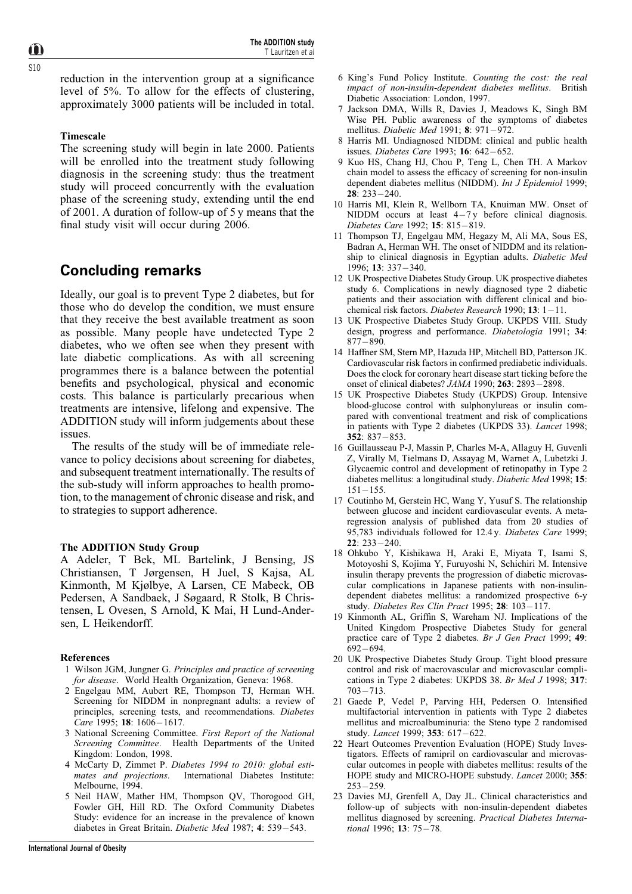$\mathbf{\hat{n}}$ S10

> reduction in the intervention group at a significance level of 5%. To allow for the effects of clustering, approximately 3000 patients will be included in total.

## Timescale

The screening study will begin in late 2000. Patients will be enrolled into the treatment study following diagnosis in the screening study: thus the treatment study will proceed concurrently with the evaluation phase of the screening study, extending until the end of 2001. A duration of follow-up of 5 y means that the final study visit will occur during 2006.

# Concluding remarks

Ideally, our goal is to prevent Type 2 diabetes, but for those who do develop the condition, we must ensure that they receive the best available treatment as soon as possible. Many people have undetected Type 2 diabetes, who we often see when they present with late diabetic complications. As with all screening programmes there is a balance between the potential benefits and psychological, physical and economic costs. This balance is particularly precarious when treatments are intensive, lifelong and expensive. The ADDITION study will inform judgements about these issues.

The results of the study will be of immediate relevance to policy decisions about screening for diabetes, and subsequent treatment internationally. The results of the sub-study will inform approaches to health promotion, to the management of chronic disease and risk, and to strategies to support adherence.

## The ADDITION Study Group

A Adeler, T Bek, ML Bartelink, J Bensing, JS Christiansen, T Jùrgensen, H Juel, S Kajsa, AL Kinmonth, M Kjølbye, A Larsen, CE Mabeck, OB Pedersen, A Sandbaek, J Søgaard, R Stolk, B Christensen, L Ovesen, S Arnold, K Mai, H Lund-Andersen, L Heikendorff.

#### References

- 1 Wilson JGM, Jungner G. Principles and practice of screening for disease. World Health Organization, Geneva: 1968.
- 2 Engelgau MM, Aubert RE, Thompson TJ, Herman WH. Screening for NIDDM in nonpregnant adults: a review of principles, screening tests, and recommendations. Diabetes Care 1995; 18:  $1606 - 1617$ .
- 3 National Screening Committee. First Report of the National Screening Committee. Health Departments of the United Kingdom: London, 1998.
- 4 McCarty D, Zimmet P. Diabetes 1994 to 2010: global esti-<br>mates and projections. International Diabetes Institute: International Diabetes Institute: Melbourne, 1994.
- 5 Neil HAW, Mather HM, Thompson QV, Thorogood GH, Fowler GH, Hill RD. The Oxford Community Diabetes Study: evidence for an increase in the prevalence of known diabetes in Great Britain. Diabetic Med 1987; 4: 539-543.
- 6 King's Fund Policy Institute. Counting the cost: the real impact of non-insulin-dependent diabetes mellitus. British Diabetic Association: London, 1997.
- 7 Jackson DMA, Wills R, Davies J, Meadows K, Singh BM Wise PH. Public awareness of the symptoms of diabetes mellitus. Diabetic Med 1991; 8: 971-972.
- 8 Harris MI. Undiagnosed NIDDM: clinical and public health issues. Diabetes Care 1993; 16: 642-652.
- 9 Kuo HS, Chang HJ, Chou P, Teng L, Chen TH. A Markov chain model to assess the efficacy of screening for non-insulin dependent diabetes mellitus (NIDDM). Int J Epidemiol 1999;  $28: 233 - 240.$
- 10 Harris MI, Klein R, Wellborn TA, Knuiman MW. Onset of NIDDM occurs at least  $4-7y$  before clinical diagnosis. Diabetes Care 1992; 15: 815-819.
- 11 Thompson TJ, Engelgau MM, Hegazy M, Ali MA, Sous ES, Badran A, Herman WH. The onset of NIDDM and its relationship to clinical diagnosis in Egyptian adults. Diabetic Med 1996; 13: 337 - 340.
- 12 UK Prospective Diabetes Study Group. UK prospective diabetes study 6. Complications in newly diagnosed type 2 diabetic patients and their association with different clinical and biochemical risk factors. Diabetes Research 1990; 13: 1-11.
- 13 UK Prospective Diabetes Study Group. UKPDS VIII. Study design, progress and performance. Diabetologia 1991; 34:  $877 - 890.$
- 14 Haffner SM, Stern MP, Hazuda HP, Mitchell BD, Patterson JK. Cardiovascular risk factors in confirmed prediabetic individuals. Does the clock for coronary heart disease start ticking before the onset of clinical diabetes?  $JAMA$  1990; 263: 2893-2898.
- 15 UK Prospective Diabetes Study (UKPDS) Group. Intensive blood-glucose control with sulphonylureas or insulin compared with conventional treatment and risk of complications in patients with Type 2 diabetes (UKPDS 33). Lancet 1998;  $352: 837 - 853.$
- 16 Guillausseau P-J, Massin P, Charles M-A, Allaguy H, Guvenli Z, Virally M, Tielmans D, Assayag M, Warnet A, Lubetzki J. Glycaemic control and development of retinopathy in Type 2 diabetes mellitus: a longitudinal study. Diabetic Med 1998; 15:  $151 - 155$ .
- 17 Coutinho M, Gerstein HC, Wang Y, Yusuf S. The relationship between glucose and incident cardiovascular events. A metaregression analysis of published data from 20 studies of 95,783 individuals followed for 12.4 y. Diabetes Care 1999;  $22 \cdot 233 - 240$
- 18 Ohkubo Y, Kishikawa H, Araki E, Miyata T, Isami S, Motoyoshi S, Kojima Y, Furuyoshi N, Schichiri M. Intensive insulin therapy prevents the progression of diabetic microvascular complications in Japanese patients with non-insulindependent diabetes mellitus: a randomized prospective 6-y study. Diabetes Res Clin Pract 1995;  $28: 103-117$ .
- 19 Kinmonth AL, Griffin S, Wareham NJ. Implications of the United Kingdom Prospective Diabetes Study for general practice care of Type 2 diabetes. Br J Gen Pract 1999; 49:  $692 - 694.$
- 20 UK Prospective Diabetes Study Group. Tight blood pressure control and risk of macrovascular and microvascular complications in Type 2 diabetes: UKPDS 38. Br Med J 1998; 317:  $703 - 713.$
- 21 Gaede P, Vedel P, Parving HH, Pedersen O. Intensified multifactorial intervention in patients with Type 2 diabetes mellitus and microalbuminuria: the Steno type 2 randomised study. Lancet 1999; 353: 617-622.
- 22 Heart Outcomes Prevention Evaluation (HOPE) Study Investigators. Effects of ramipril on cardiovascular and microvascular outcomes in people with diabetes mellitus: results of the HOPE study and MICRO-HOPE substudy. Lancet 2000; 355:  $253 - 259.$
- 23 Davies MJ, Grenfell A, Day JL. Clinical characteristics and follow-up of subjects with non-insulin-dependent diabetes mellitus diagnosed by screening. Practical Diabetes International 1996;  $13: 75 - 78$ .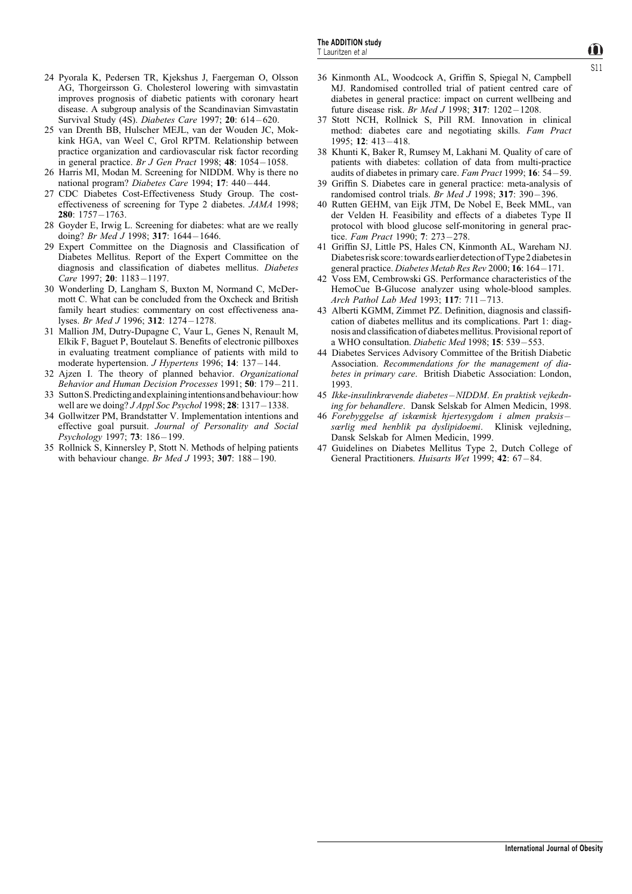- 24 Pyorala K, Pedersen TR, Kjekshus J, Faergeman O, Olsson AG, Thorgeirsson G. Cholesterol lowering with simvastatin improves prognosis of diabetic patients with coronary heart disease. A subgroup analysis of the Scandinavian Simvastatin Survival Study (4S). Diabetes Care 1997; 20: 614-620.
- 25 van Drenth BB, Hulscher MEJL, van der Wouden JC, Mokkink HGA, van Weel C, Grol RPTM. Relationship between practice organization and cardiovascular risk factor recording in general practice. Br J Gen Pract 1998;  $48: 1054 - 1058$ .
- 26 Harris MI, Modan M. Screening for NIDDM. Why is there no national program? Diabetes Care 1994; 17: 440-444.
- 27 CDC Diabetes Cost-Effectiveness Study Group. The costeffectiveness of screening for Type 2 diabetes. JAMA 1998; 280:  $1757 - 1763$ .
- 28 Goyder E, Irwig L. Screening for diabetes: what are we really doing? Br Med J 1998; 317: 1644-1646.
- 29 Expert Committee on the Diagnosis and Classification of Diabetes Mellitus. Report of the Expert Committee on the diagnosis and classification of diabetes mellitus. Diabetes Care 1997; 20: 1183-1197.
- 30 Wonderling D, Langham S, Buxton M, Normand C, McDermott C. What can be concluded from the Oxcheck and British family heart studies: commentary on cost effectiveness analyses. Br Med J 1996; 312: 1274-1278.
- 31 Mallion JM, Dutry-Dupagne C, Vaur L, Genes N, Renault M, Elkik F, Baguet P, Boutelaut S. Benefits of electronic pillboxes in evaluating treatment compliance of patients with mild to moderate hypertension. J Hypertens 1996; 14: 137 - 144.
- 32 Ajzen I. The theory of planned behavior. Organizational Behavior and Human Decision Processes 1991; 50: 179-211.
- 33 SuttonS.Predictingandexplainingintentionsandbehaviour:how well are we doing?  $JAppl$  Soc Psychol 1998; 28: 1317–1338.
- 34 Gollwitzer PM, Brandstatter V. Implementation intentions and effective goal pursuit. Journal of Personality and Social  $Psychology 1997; 73: 186 - 199.$
- 35 Rollnick S, Kinnersley P, Stott N. Methods of helping patients with behaviour change. Br Med J 1993; 307:  $188-190$ .
- 36 Kinmonth AL, Woodcock A, Griffin S, Spiegal N, Campbell MJ. Randomised controlled trial of patient centred care of diabetes in general practice: impact on current wellbeing and future disease risk. Br Med J 1998; 317: 1202-1208.
- 37 Stott NCH, Rollnick S, Pill RM. Innovation in clinical method: diabetes care and negotiating skills. Fam Pract 1995; **12**:  $413 - 418$ .
- 38 Khunti K, Baker R, Rumsey M, Lakhani M. Quality of care of patients with diabetes: collation of data from multi-practice audits of diabetes in primary care. Fam Pract 1999;  $16: 54-59$ .
- 39 Griffin S. Diabetes care in general practice: meta-analysis of randomised control trials. Br Med J 1998:  $317: 390 - 396$ .
- 40 Rutten GEHM, van Eijk JTM, De Nobel E, Beek MML, van der Velden H. Feasibility and effects of a diabetes Type II protocol with blood glucose self-monitoring in general practice. Fam Pract 1990; 7: 273-278.
- 41 Griffin SJ, Little PS, Hales CN, Kinmonth AL, Wareham NJ. Diabetes risk score: towards earlier detection of Type 2 diabetes in general practice. Diabetes Metab Res Rev 2000; 16: 164-171.
- 42 Voss EM, Cembrowski GS. Performance characteristics of the HemoCue B-Glucose analyzer using whole-blood samples. Arch Pathol Lab Med 1993; 117: 711-713.
- 43 Alberti KGMM, Zimmet PZ. Definition, diagnosis and classification of diabetes mellitus and its complications. Part 1: diagnosis and classification of diabetes mellitus. Provisional report of a WHO consultation. Diabetic Med 1998; 15: 539-553.
- 44 Diabetes Services Advisory Committee of the British Diabetic Association. Recommendations for the management of diabetes in primary care. British Diabetic Association: London, 1993.
- 45 Ikke-insulinkrævende diabetes-NIDDM. En praktisk vejkedning for behandlere. Dansk Selskab for Almen Medicin, 1998.
- 46 Forebyggelse af iskæmisk hjertesygdom i almen praksissærlig med henblik pa dyslipidoemi. Klinisk vejledning, Dansk Selskab for Almen Medicin, 1999.
- 47 Guidelines on Diabetes Mellitus Type 2, Dutch College of General Practitioners. Huisarts Wet 1999;  $42: 67-84$ .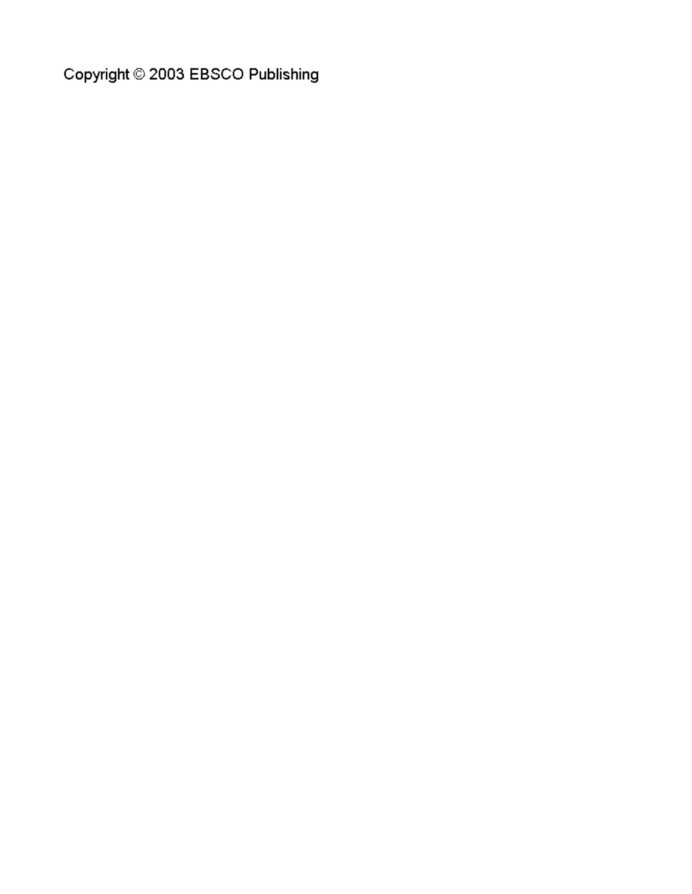Copyright © 2003 EBSCO Publishing